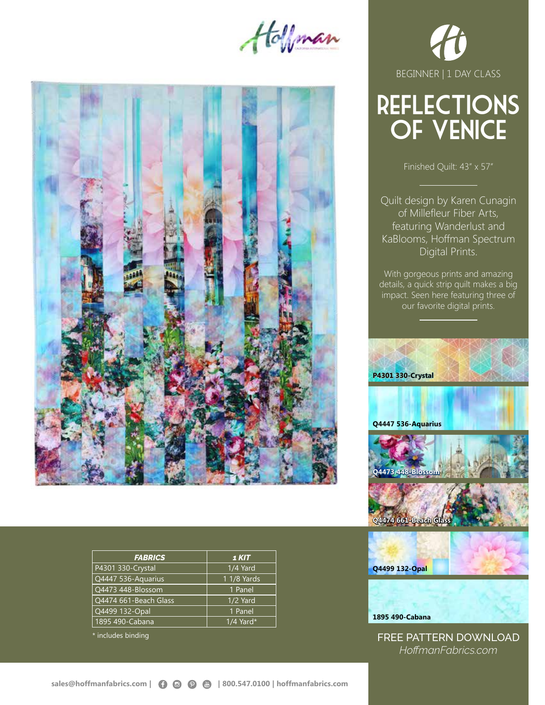Hoffman



| <b>FABRICS</b>        | 1 KIT       |
|-----------------------|-------------|
| P4301 330-Crystal     | 1/4 Yard    |
| Q4447 536-Aquarius    | 1 1/8 Yards |
| Q4473 448-Blossom     | 1 Panel     |
| Q4474 661-Beach Glass | 1/2 Yard    |
| Q4499 132-Opal        | 1 Panel     |
| 1895 490-Cabana       | $1/4$ Yard* |

\* includes binding



# reflections of venice

Finished Quilt: 43" x 57"

Quilt design by Karen Cunagin of Millefleur Fiber Arts, featuring Wanderlust and KaBlooms, Hoffman Spectrum Digital Prints.

With gorgeous prints and amazing details, a quick strip quilt makes a big impact. Seen here featuring three of our favorite digital prints.



**1895 490-Cabana**

FREE PATTERN DOWNLOAD *HoffmanFabrics.com*